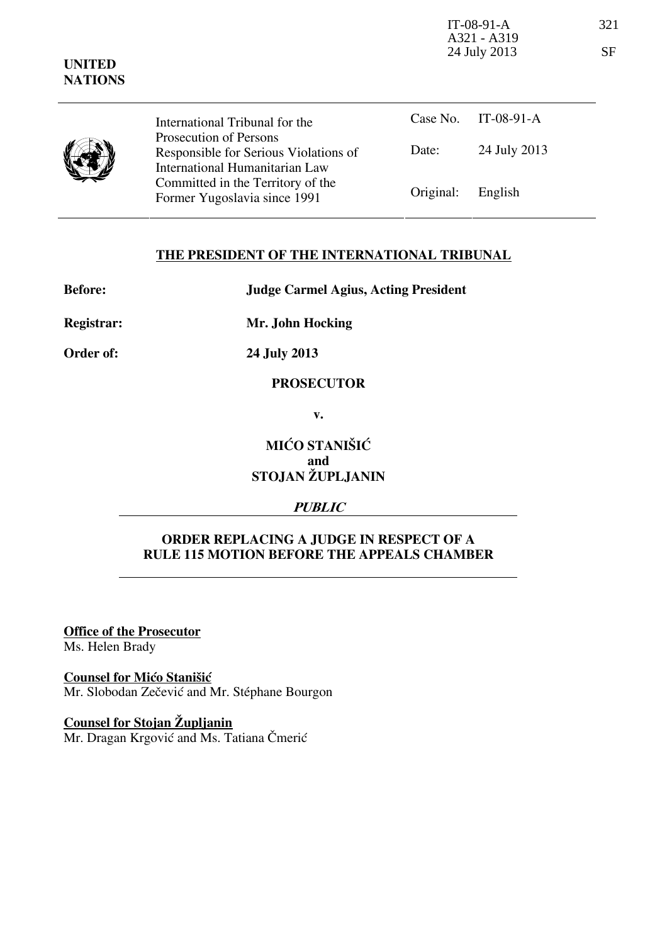| <b>UNITED</b><br><b>NATIONS</b> |                                                                                                   | $IT-08-91-A$<br>A321 - A319<br>24 July 2013 |              | 321<br>SF |
|---------------------------------|---------------------------------------------------------------------------------------------------|---------------------------------------------|--------------|-----------|
|                                 | International Tribunal for the                                                                    | Case No.                                    | $IT-08-91-A$ |           |
|                                 | Prosecution of Persons<br>Responsible for Serious Violations of<br>International Humanitarian Law | Date:                                       | 24 July 2013 |           |
|                                 | Committed in the Territory of the<br>Former Yugoslavia since 1991                                 | Original:                                   | English      |           |

## **THE PRESIDENT OF THE INTERNATIONAL TRIBUNAL**

| <b>Before:</b> |  |
|----------------|--|
|                |  |

**Before: Judge Carmel Agius, Acting President** 

**Registrar: Mr. John Hocking** 

**Order of: 24 July 2013** 

#### **PROSECUTOR**

**v.** 

# **MIĆO STANIŠIĆ and STOJAN ŽUPLJANIN**

## **PUBLIC**

## **ORDER REPLACING A JUDGE IN RESPECT OF A RULE 115 MOTION BEFORE THE APPEALS CHAMBER**

**Office of the Prosecutor**

Ms. Helen Brady

**Counsel for Mićo Stanišić**

Mr. Slobodan Zečević and Mr. Stéphane Bourgon

**Counsel for Stojan Župljanin** Mr. Dragan Krgović and Ms. Tatiana Čmerić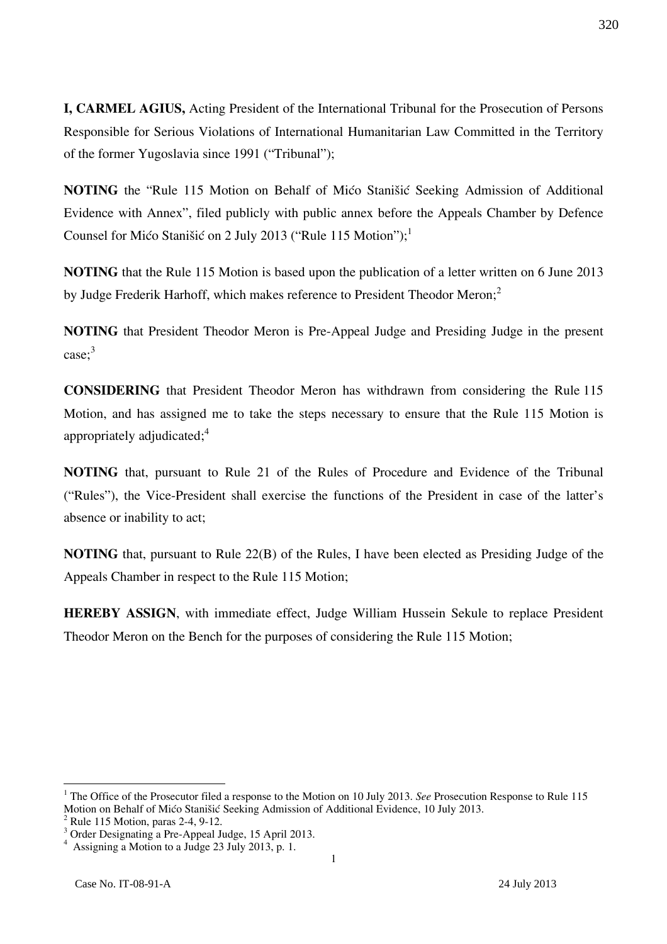**I, CARMEL AGIUS,** Acting President of the International Tribunal for the Prosecution of Persons Responsible for Serious Violations of International Humanitarian Law Committed in the Territory of the former Yugoslavia since 1991 ("Tribunal");

**NOTING** the "Rule 115 Motion on Behalf of Mićo Stanišić Seeking Admission of Additional Evidence with Annex", filed publicly with public annex before the Appeals Chamber by Defence Counsel for Mićo Stanišić on 2 July 2013 ("Rule 115 Motion");<sup>1</sup>

**NOTING** that the Rule 115 Motion is based upon the publication of a letter written on 6 June 2013 by Judge Frederik Harhoff, which makes reference to President Theodor Meron;<sup>2</sup>

**NOTING** that President Theodor Meron is Pre-Appeal Judge and Presiding Judge in the present case; 3

**CONSIDERING** that President Theodor Meron has withdrawn from considering the Rule 115 Motion, and has assigned me to take the steps necessary to ensure that the Rule 115 Motion is appropriately adjudicated;<sup>4</sup>

**NOTING** that, pursuant to Rule 21 of the Rules of Procedure and Evidence of the Tribunal ("Rules"), the Vice-President shall exercise the functions of the President in case of the latter's absence or inability to act;

**NOTING** that, pursuant to Rule 22(B) of the Rules, I have been elected as Presiding Judge of the Appeals Chamber in respect to the Rule 115 Motion;

**HEREBY ASSIGN**, with immediate effect, Judge William Hussein Sekule to replace President Theodor Meron on the Bench for the purposes of considering the Rule 115 Motion;

 $\overline{a}$ 

<sup>&</sup>lt;sup>1</sup> The Office of the Prosecutor filed a response to the Motion on 10 July 2013. *See* Prosecution Response to Rule 115 Motion on Behalf of Mićo Stanišić Seeking Admission of Additional Evidence, 10 July 2013.

 $2$  Rule 115 Motion, paras 2-4, 9-12.

 $^3$  Order Designating a Pre-Appeal Judge, 15 April 2013.

Assigning a Motion to a Judge 23 July 2013, p. 1.